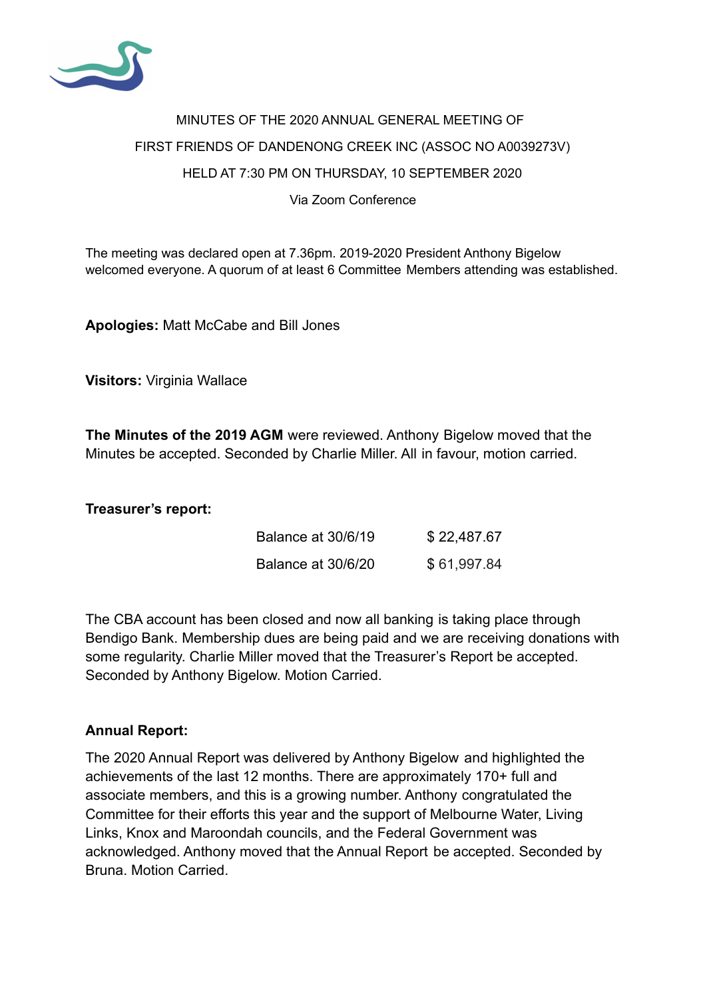

## MINUTES OF THE 2020 ANNUAL GENERAL MEETING OF FIRST FRIENDS OF DANDENONG CREEK INC (ASSOC NO A0039273V) HELD AT 7:30 PM ON THURSDAY, 10 SEPTEMBER 2020 Via Zoom Conference

The meeting was declared open at 7.36pm. 2019-2020 President Anthony Bigelow welcomed everyone. A quorum of at least 6 Committee Members attending was established.

**Apologies:** Matt McCabe and Bill Jones

**Visitors:** Virginia Wallace

**The Minutes of the 2019 AGM** were reviewed. Anthony Bigelow moved that the Minutes be accepted. Seconded by Charlie Miller. All in favour, motion carried.

**Treasurer's report:**

| Balance at 30/6/19 | \$22,487.67 |
|--------------------|-------------|
| Balance at 30/6/20 | \$61,997.84 |

The CBA account has been closed and now all banking is taking place through Bendigo Bank. Membership dues are being paid and we are receiving donations with some regularity. Charlie Miller moved that the Treasurer's Report be accepted. Seconded by Anthony Bigelow. Motion Carried.

## **Annual Report:**

The 2020 Annual Report was delivered by Anthony Bigelow and highlighted the achievements of the last 12 months. There are approximately 170+ full and associate members, and this is a growing number. Anthony congratulated the Committee for their efforts this year and the support of Melbourne Water, Living Links, Knox and Maroondah councils, and the Federal Government was acknowledged. Anthony moved that the Annual Report be accepted. Seconded by Bruna. Motion Carried.